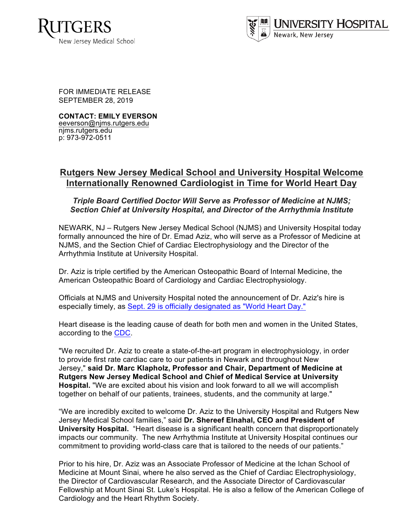



FOR IMMEDIATE RELEASE SEPTEMBER 28, 2019

**CONTACT: EMILY EVERSON** eeverson@njms.rutgers.edu njms.rutgers.edu p: 973-972-0511

## **Rutgers New Jersey Medical School and University Hospital Welcome Internationally Renowned Cardiologist in Time for World Heart Day**

## *Triple Board Certified Doctor Will Serve as Professor of Medicine at NJMS; Section Chief at University Hospital, and Director of the Arrhythmia Institute*

NEWARK, NJ – Rutgers New Jersey Medical School (NJMS) and University Hospital today formally announced the hire of Dr. Emad Aziz, who will serve as a Professor of Medicine at NJMS, and the Section Chief of Cardiac Electrophysiology and the Director of the Arrhythmia Institute at University Hospital.

Dr. Aziz is triple certified by the American Osteopathic Board of Internal Medicine, the American Osteopathic Board of Cardiology and Cardiac Electrophysiology.

Officials at NJMS and University Hospital noted the announcement of Dr. Aziz's hire is especially timely, as Sept. 29 is officially designated as "World Heart Day."

Heart disease is the leading cause of death for both men and women in the United States, according to the CDC.

"We recruited Dr. Aziz to create a state-of-the-art program in electrophysiology, in order to provide first rate cardiac care to our patients in Newark and throughout New Jersey," **said Dr. Marc Klapholz, Professor and Chair, Department of Medicine at Rutgers New Jersey Medical School and Chief of Medical Service at University Hospital.** "We are excited about his vision and look forward to all we will accomplish together on behalf of our patients, trainees, students, and the community at large."

"We are incredibly excited to welcome Dr. Aziz to the University Hospital and Rutgers New Jersey Medical School families," said **Dr. Shereef Elnahal, CEO and President of University Hospital.** "Heart disease is a significant health concern that disproportionately impacts our community. The new Arrhythmia Institute at University Hospital continues our commitment to providing world-class care that is tailored to the needs of our patients."

Prior to his hire, Dr. Aziz was an Associate Professor of Medicine at the Ichan School of Medicine at Mount Sinai, where he also served as the Chief of Cardiac Electrophysiology, the Director of Cardiovascular Research, and the Associate Director of Cardiovascular Fellowship at Mount Sinai St. Luke's Hospital. He is also a fellow of the American College of Cardiology and the Heart Rhythm Society.